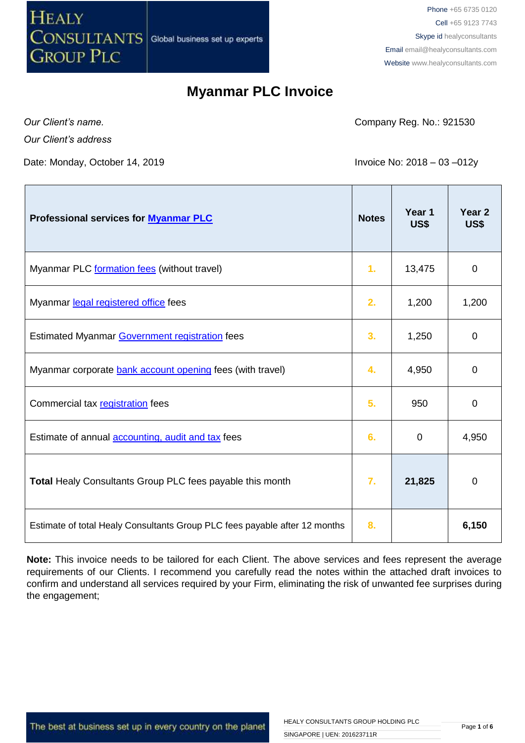

Phone +65 6735 0120 Cell +65 9123 7743 Skype id healyconsultants Email [email@healyconsultants.com](mailto:EMAIL@HEALYCONSULTANTS.COM) Website [www.healyconsultants.com](http://www.healyconsultants.com/)

#### **Myanmar PLC Invoice**

*Our Client's name.*

 $\mathbf{r}$ 

*Our Client's address*

Date: Monday, October 14, 2019 **Invoice No: 2018 – 03 –012y** 

Company Reg. No.: 921530

 $\mathbf{r}$ 

T

| Professional services for <b>Myanmar PLC</b>                               | <b>Notes</b> | Year 1<br>US\$ | Year <sub>2</sub><br>US\$ |
|----------------------------------------------------------------------------|--------------|----------------|---------------------------|
| Myanmar PLC formation fees (without travel)                                | 1.           | 13,475         | 0                         |
| Myanmar legal registered office fees                                       | 2.           | 1,200          | 1,200                     |
| Estimated Myanmar Government registration fees                             | 3.           | 1,250          | $\mathbf 0$               |
| Myanmar corporate bank account opening fees (with travel)                  | 4.           | 4,950          | 0                         |
| Commercial tax registration fees                                           | 5.           | 950            | $\overline{0}$            |
| Estimate of annual <b>accounting</b> , audit and tax fees                  | 6.           | 0              | 4,950                     |
| Total Healy Consultants Group PLC fees payable this month                  | 7.           | 21,825         | 0                         |
| Estimate of total Healy Consultants Group PLC fees payable after 12 months | 8.           |                | 6,150                     |

**Note:** This invoice needs to be tailored for each Client. The above services and fees represent the average requirements of our Clients. I recommend you carefully read the notes within the attached draft invoices to confirm and understand all services required by your Firm, eliminating the risk of unwanted fee surprises during the engagement;

The best at business set up in every country on the planet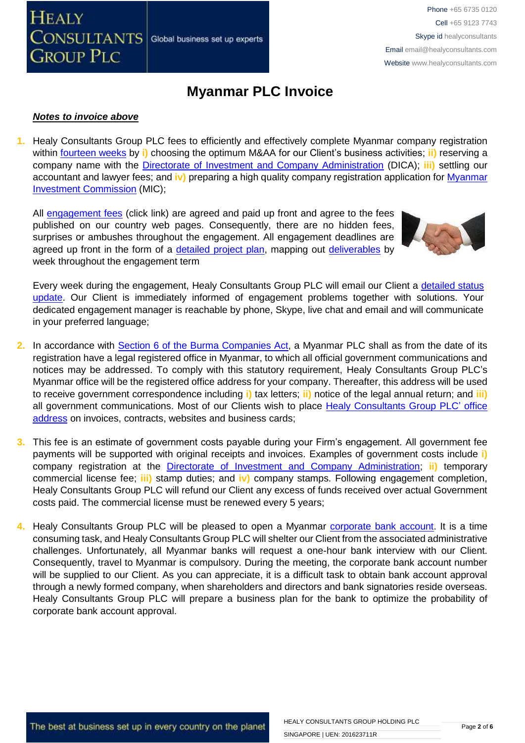## **Myanmar PLC Invoice**

#### *Notes to invoice above*

**CONSULTANTS** 

**GROUP PLC** 

**HEALY** 

**1.** Healy Consultants Group PLC fees to efficiently and effectively complete Myanmar company registration within [fourteen weeks](http://www.healyconsultants.com/myanmar-company-registration/incorporation-steps/) by **i)** choosing the optimum M&AA for our Client's business activities; **ii)** reserving a company name with the [Directorate of Investment and Company Administration](http://dica.gov.mm.x-aas.net/) (DICA); **iii)** settling our accountant and lawyer fees; and **iv)** preparing a high quality company registration application for [Myanmar](http://www.moi.gov.mm/?q=announcement/28/01/2014/id-1946)  [Investment Commission](http://www.moi.gov.mm/?q=announcement/28/01/2014/id-1946) (MIC);

All [engagement fees](http://www.healyconsultants.com/company-registration-fees/) (click link) are agreed and paid up front and agree to the fees published on our country web pages. Consequently, there are no hidden fees, surprises or ambushes throughout the engagement. All engagement deadlines are agreed up front in the form of a [detailed project plan,](http://www.healyconsultants.com/index-important-links/example-project-plan/) mapping out [deliverables](http://www.healyconsultants.com/deliverables-to-our-clients/) by week throughout the engagement term

Global business set up experts

Every week during the engagement, Healy Consultants Group PLC will email our Client a detailed status [update.](http://www.healyconsultants.com/index-important-links/weekly-engagement-status-email/) Our Client is immediately informed of engagement problems together with solutions. Your dedicated engagement manager is reachable by phone, Skype, live chat and email and will communicate in your preferred language;

- **2.** In accordance with [Section 6 of the Burma](http://www.thaiembassy.org/yangon/contents/files/business-20131115-152451-224205.pdf) Companies Act, a Myanmar PLC shall as from the date of its registration have a legal registered office in Myanmar, to which all official government communications and notices may be addressed. To comply with this statutory requirement, Healy Consultants Group PLC's Myanmar office will be the registered office address for your company. Thereafter, this address will be used to receive government correspondence including **i)** tax letters; **ii)** notice of the legal annual return; and **iii)**  all government communications. Most of our Clients wish to place [Healy Consultants Group PLC'](http://www.healyconsultants.com/corporate-outsourcing-services/company-secretary-and-legal-registered-office/) office [address](http://www.healyconsultants.com/corporate-outsourcing-services/company-secretary-and-legal-registered-office/) on invoices, contracts, websites and business cards;
- **3.** This fee is an estimate of government costs payable during your Firm's engagement. All government fee payments will be supported with original receipts and invoices. Examples of government costs include **i)** company registration at the [Directorate of Investment and Company Administration;](http://dica.x-aas.net/dica/) **ii)** temporary commercial license fee; **iii)** stamp duties; and **iv)** company stamps. Following engagement completion, Healy Consultants Group PLC will refund our Client any excess of funds received over actual Government costs paid. The commercial license must be renewed every 5 years;
- **4.** Healy Consultants Group PLC will be pleased to open a Myanmar [corporate bank account.](http://www.healyconsultants.com/myanmar-company-registration/formation-support-services/#banking) It is a time consuming task, and Healy Consultants Group PLC will shelter our Client from the associated administrative challenges. Unfortunately, all Myanmar banks will request a one-hour bank interview with our Client. Consequently, travel to Myanmar is compulsory. During the meeting, the corporate bank account number will be supplied to our Client. As you can appreciate, it is a difficult task to obtain bank account approval through a newly formed company, when shareholders and directors and bank signatories reside overseas. Healy Consultants Group PLC will prepare a business plan for the bank to optimize the probability of corporate bank account approval.

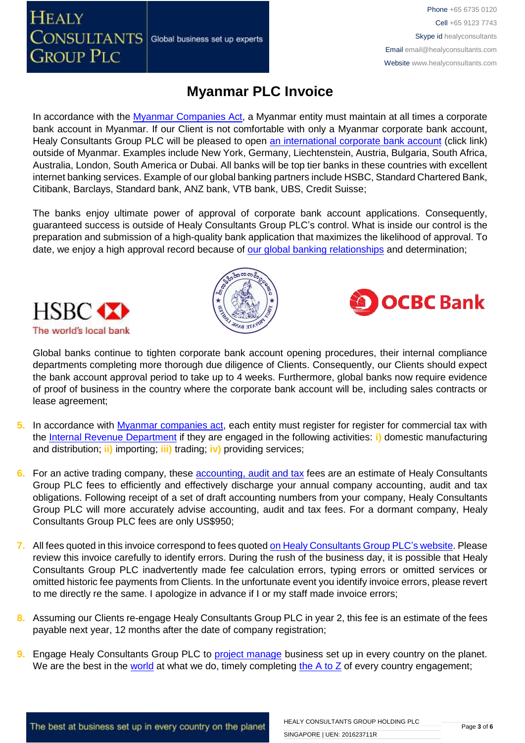In accordance with the [Myanmar Companies Act,](http://www.thaiembassy.org/yangon/contents/files/business-20131115-152451-224205.pdf) a Myanmar entity must maintain at all times a corporate

Global business set up experts

bank account in Myanmar. If our Client is not comfortable with only a Myanmar corporate bank account, Healy Consultants Group PLC will be pleased to open [an international corporate bank account](http://www.healyconsultants.com/international-banking/) (click link) outside of Myanmar. Examples include New York, Germany, Liechtenstein, Austria, Bulgaria, South Africa, Australia, London, South America or Dubai. All banks will be top tier banks in these countries with excellent internet banking services. Example of our global banking partners include HSBC, Standard Chartered Bank, Citibank, Barclays, Standard bank, ANZ bank, VTB bank, UBS, Credit Suisse;

**Myanmar PLC Invoice**

The banks enjoy ultimate power of approval of corporate bank account applications. Consequently, guaranteed success is outside of Healy Consultants Group PLC's control. What is inside our control is the preparation and submission of a high-quality bank application that maximizes the likelihood of approval. To date, we enjoy a high approval record because of [our global banking relationships](http://www.healyconsultants.com/international-banking/corporate-accounts/) and determination;



**HEALY** 

**CONSULTANTS** 

**GROUP PLC** 



**DOCBC** Bank

Phone +65 6735 0120 Cell +65 9123 7743 Skype id healyconsultants

Email [email@healyconsultants.com](mailto:EMAIL@HEALYCONSULTANTS.COM) Website [www.healyconsultants.com](http://www.healyconsultants.com/)

Global banks continue to tighten corporate bank account opening procedures, their internal compliance departments completing more thorough due diligence of Clients. Consequently, our Clients should expect the bank account approval period to take up to 4 weeks. Furthermore, global banks now require evidence of proof of business in the country where the corporate bank account will be, including sales contracts or lease agreement;

- **5.** In accordance with [Myanmar companies act,](http://www.thaiembassy.org/yangon/contents/files/business-20131115-152451-224205.pdf) each entity must register for register for commercial tax with the [Internal Revenue Department](http://www.irdmyanmar.gov.mm/default.aspx) if they are engaged in the following activities: **i)** domestic manufacturing and distribution; **ii)** importing; **iii)** trading; **iv)** providing services;
- **6.** For an active trading company, these **accounting, audit and tax** fees are an estimate of Healy Consultants Group PLC fees to efficiently and effectively discharge your annual company accounting, audit and tax obligations. Following receipt of a set of draft accounting numbers from your company, Healy Consultants Group PLC will more accurately advise accounting, audit and tax fees. For a dormant company, Healy Consultants Group PLC fees are only US\$950;
- **7.** All fees quoted in this invoice correspond to fees quoted [on Healy Consultants Group PLC's](http://www.healyconsultants.com/company-registration-fees/) website. Please review this invoice carefully to identify errors. During the rush of the business day, it is possible that Healy Consultants Group PLC inadvertently made fee calculation errors, typing errors or omitted services or omitted historic fee payments from Clients. In the unfortunate event you identify invoice errors, please revert to me directly re the same. I apologize in advance if I or my staff made invoice errors;
- **8.** Assuming our Clients re-engage Healy Consultants Group PLC in year 2, this fee is an estimate of the fees payable next year, 12 months after the date of company registration;
- **9.** Engage Healy Consultants Group PLC to **project manage** business set up in every country on the planet. We are the best in the [world](http://www.healyconsultants.com/best-in-the-world/) at what we do, timely completing the  $A$  to  $Z$  of every country engagement;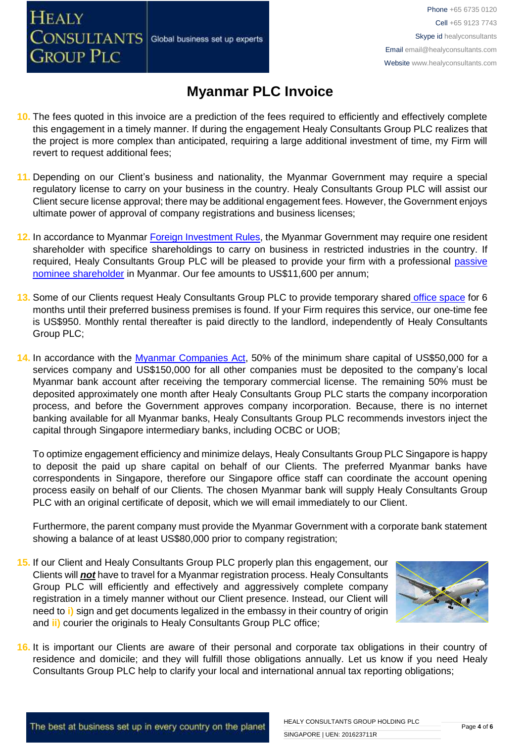# **Myanmar PLC Invoice**

- **10.** The fees quoted in this invoice are a prediction of the fees required to efficiently and effectively complete this engagement in a timely manner. If during the engagement Healy Consultants Group PLC realizes that the project is more complex than anticipated, requiring a large additional investment of time, my Firm will revert to request additional fees;
- **11.** Depending on our Client's business and nationality, the Myanmar Government may require a special regulatory license to carry on your business in the country. Healy Consultants Group PLC will assist our Client secure license approval; there may be additional engagement fees. However, the Government enjoys ultimate power of approval of company registrations and business licenses;
- **12.** In accordance to Myanmar [Foreign Investment Rules,](http://www.myanmarlegalservices.com/wp-content/uploads/2013/02/KCK-version-of-Official-FIL-Rules-doc-with-Schedules-07feb13.pdf) the Myanmar Government may require one resident shareholder with specifice shareholdings to carry on business in restricted industries in the country. If required, Healy Consultants Group PLC will be pleased to provide your firm with a professional [passive](http://www.healyconsultants.com/resident-director-services/)  [nominee shareholder](http://www.healyconsultants.com/resident-director-services/) in Myanmar. Our fee amounts to US\$11,600 per annum;
- **13.** Some of our Clients request Healy Consultants Group PLC to provide temporary shared [office space](http://www.healyconsultants.com/virtual-office/) for 6 months until their preferred business premises is found. If your Firm requires this service, our one-time fee is US\$950. Monthly rental thereafter is paid directly to the landlord, independently of Healy Consultants Group PLC;
- **14.** In accordance with the [Myanmar Companies Act,](http://www.thaiembassy.org/yangon/contents/files/business-20131115-152451-224205.pdf) 50% of the minimum share capital of US\$50,000 for a services company and US\$150,000 for all other companies must be deposited to the company's local Myanmar bank account after receiving the temporary commercial license. The remaining 50% must be deposited approximately one month after Healy Consultants Group PLC starts the company incorporation process, and before the Government approves company incorporation. Because, there is no internet banking available for all Myanmar banks, Healy Consultants Group PLC recommends investors inject the capital through Singapore intermediary banks, including OCBC or UOB;

To optimize engagement efficiency and minimize delays, Healy Consultants Group PLC Singapore is happy to deposit the paid up share capital on behalf of our Clients. The preferred Myanmar banks have correspondents in Singapore, therefore our Singapore office staff can coordinate the account opening process easily on behalf of our Clients. The chosen Myanmar bank will supply Healy Consultants Group PLC with an original certificate of deposit, which we will email immediately to our Client.

Furthermore, the parent company must provide the Myanmar Government with a corporate bank statement showing a balance of at least US\$80,000 prior to company registration;

**15.** If our Client and Healy Consultants Group PLC properly plan this engagement, our Clients will *not* have to travel for a Myanmar registration process. Healy Consultants Group PLC will efficiently and effectively and aggressively complete company registration in a timely manner without our Client presence. Instead, our Client will need to **i)** sign and get documents legalized in the embassy in their country of origin and **ii)** courier the originals to Healy Consultants Group PLC office;



**16.** It is important our Clients are aware of their personal and corporate tax obligations in their country of residence and domicile; and they will fulfill those obligations annually. Let us know if you need Healy Consultants Group PLC help to clarify your local and international annual tax reporting obligations;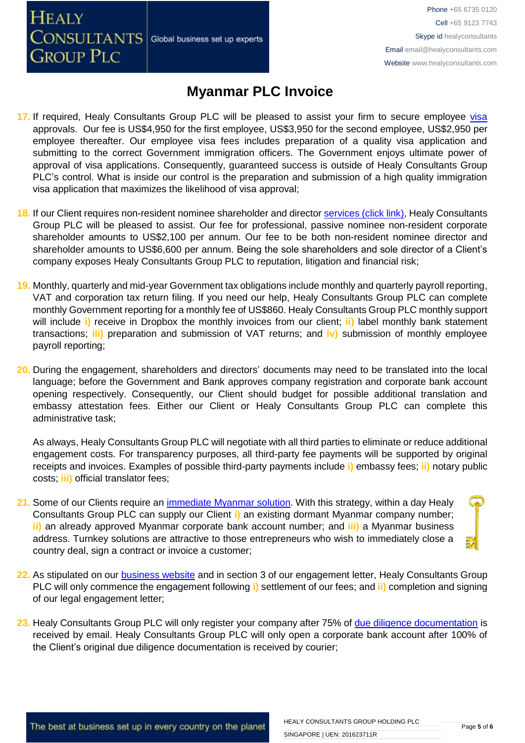Global business set up experts

**CONSULTANTS GROUP PLC** 

**HEALY** 

Phone +65 6735 0120 Cell +65 9123 7743 Skype id healyconsultants Email [email@healyconsultants.com](mailto:EMAIL@HEALYCONSULTANTS.COM) Website [www.healyconsultants.com](http://www.healyconsultants.com/)

## **Myanmar PLC Invoice**

- 17. If required, Healy Consultants Group PLC will be pleased to assist your firm to secure employee [visa](http://www.healyconsultants.com/myanmar-company-registration/formation-support-services/) approvals. Our fee is US\$4,950 for the first employee, US\$3,950 for the second employee, US\$2,950 per employee thereafter. Our employee visa fees includes preparation of a quality visa application and submitting to the correct Government immigration officers. The Government enjoys ultimate power of approval of visa applications. Consequently, guaranteed success is outside of Healy Consultants Group PLC's control. What is inside our control is the preparation and submission of a high quality immigration visa application that maximizes the likelihood of visa approval;
- 18. If our Client requires non-resident nominee shareholder and director services [\(click link\),](http://www.healyconsultants.com/corporate-outsourcing-services/nominee-shareholders-directors/) Healy Consultants Group PLC will be pleased to assist. Our fee for professional, passive nominee non-resident corporate shareholder amounts to US\$2,100 per annum. Our fee to be both non-resident nominee director and shareholder amounts to US\$6,600 per annum. Being the sole shareholders and sole director of a Client's company exposes Healy Consultants Group PLC to reputation, litigation and financial risk;
- **19.** Monthly, quarterly and mid-year Government tax obligations include monthly and quarterly payroll reporting, VAT and corporation tax return filing. If you need our help, Healy Consultants Group PLC can complete monthly Government reporting for a monthly fee of US\$860. Healy Consultants Group PLC monthly support will include **i)** receive in Dropbox the monthly invoices from our client; **ii)** label monthly bank statement transactions; **iii)** preparation and submission of VAT returns; and **iv)** submission of monthly employee payroll reporting;
- **20.** During the engagement, shareholders and directors' documents may need to be translated into the local language; before the Government and Bank approves company registration and corporate bank account opening respectively. Consequently, our Client should budget for possible additional translation and embassy attestation fees. Either our Client or Healy Consultants Group PLC can complete this administrative task;

As always, Healy Consultants Group PLC will negotiate with all third parties to eliminate or reduce additional engagement costs. For transparency purposes, all third-party fee payments will be supported by original receipts and invoices. Examples of possible third-party payments include **i)** embassy fees; **ii)** notary public costs; **iii)** official translator fees;

- **21.** Some of our Clients require an [immediate Myanmar](http://www.healyconsultants.com/turnkey-solutions/) solution. With this strategy, within a day Healy Consultants Group PLC can supply our Client **i)** an existing dormant Myanmar company number; **ii)** an already approved Myanmar corporate bank account number; and **iii)** a Myanmar business address. Turnkey solutions are attractive to those entrepreneurs who wish to immediately close a country deal, sign a contract or invoice a customer;
- **22.** As stipulated on our [business website](http://www.healyconsultants.com/) and in section 3 of our engagement letter, Healy Consultants Group PLC will only commence the engagement following **i)** settlement of our fees; and **ii)** completion and signing of our legal engagement letter;
- **23.** Healy Consultants Group PLC will only register your company after 75% of [due diligence documentation](http://www.healyconsultants.com/due-diligence/) is received by email. Healy Consultants Group PLC will only open a corporate bank account after 100% of the Client's original due diligence documentation is received by courier;